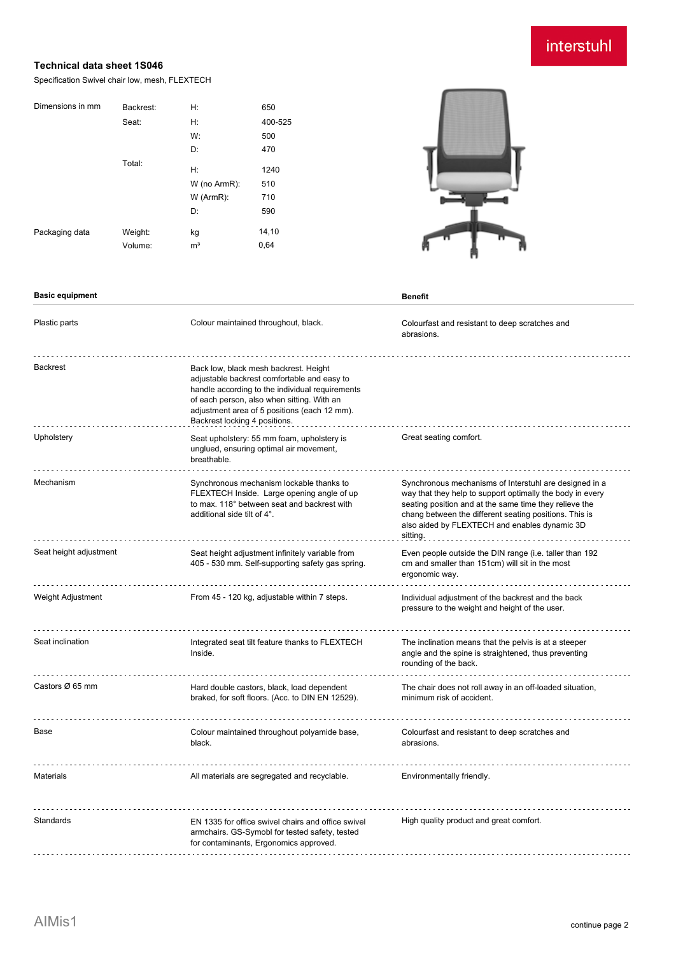# interstuhl

### **Technical data sheet 1S046**

Specification Swivel chair low, mesh, FLEXTECH

| Dimensions in mm | Backrest: | H:             | 650     |
|------------------|-----------|----------------|---------|
|                  | Seat:     | H:             | 400-525 |
|                  |           | W:             | 500     |
|                  |           | D:             | 470     |
|                  | Total:    | H:             | 1240    |
|                  |           | W (no ArmR):   | 510     |
|                  |           | W (ArmR):      | 710     |
|                  |           | D:             | 590     |
| Packaging data   | Weight:   | kg             | 14,10   |
|                  | Volume:   | m <sup>3</sup> | 0,64    |
|                  |           |                |         |



| <b>Basic equipment</b> |                                                                                                                                                                                                                                                                        | <b>Benefit</b>                                                                                                                                                                                                                                                                                       |
|------------------------|------------------------------------------------------------------------------------------------------------------------------------------------------------------------------------------------------------------------------------------------------------------------|------------------------------------------------------------------------------------------------------------------------------------------------------------------------------------------------------------------------------------------------------------------------------------------------------|
| Plastic parts          | Colour maintained throughout, black.                                                                                                                                                                                                                                   | Colourfast and resistant to deep scratches and<br>abrasions.                                                                                                                                                                                                                                         |
| <b>Backrest</b>        | Back low, black mesh backrest. Height<br>adjustable backrest comfortable and easy to<br>handle according to the individual requirements<br>of each person, also when sitting. With an<br>adjustment area of 5 positions (each 12 mm).<br>Backrest locking 4 positions. |                                                                                                                                                                                                                                                                                                      |
| Upholstery             | Seat upholstery: 55 mm foam, upholstery is<br>unglued, ensuring optimal air movement,<br>breathable.                                                                                                                                                                   | Great seating comfort.                                                                                                                                                                                                                                                                               |
| Mechanism              | Synchronous mechanism lockable thanks to<br>FLEXTECH Inside. Large opening angle of up<br>to max. 118° between seat and backrest with<br>additional side tilt of 4°.                                                                                                   | Synchronous mechanisms of Interstuhl are designed in a<br>way that they help to support optimally the body in every<br>seating position and at the same time they relieve the<br>chang between the different seating positions. This is<br>also aided by FLEXTECH and enables dynamic 3D<br>sitting. |
| Seat height adjustment | Seat height adjustment infinitely variable from<br>405 - 530 mm. Self-supporting safety gas spring.                                                                                                                                                                    | Even people outside the DIN range (i.e. taller than 192<br>cm and smaller than 151cm) will sit in the most<br>ergonomic way.                                                                                                                                                                         |
| Weight Adjustment      | From 45 - 120 kg, adjustable within 7 steps.                                                                                                                                                                                                                           | Individual adjustment of the backrest and the back<br>pressure to the weight and height of the user.                                                                                                                                                                                                 |
| Seat inclination       | Integrated seat tilt feature thanks to FLEXTECH<br>Inside.                                                                                                                                                                                                             | The inclination means that the pelvis is at a steeper<br>angle and the spine is straightened, thus preventing<br>rounding of the back.                                                                                                                                                               |
| Castors Ø 65 mm        | Hard double castors, black, load dependent<br>braked, for soft floors. (Acc. to DIN EN 12529).                                                                                                                                                                         | The chair does not roll away in an off-loaded situation,<br>minimum risk of accident.                                                                                                                                                                                                                |
| Base                   | Colour maintained throughout polyamide base,<br>black.                                                                                                                                                                                                                 | Colourfast and resistant to deep scratches and<br>abrasions.                                                                                                                                                                                                                                         |
| <b>Materials</b>       | All materials are segregated and recyclable.                                                                                                                                                                                                                           | Environmentally friendly.                                                                                                                                                                                                                                                                            |
| Standards              | EN 1335 for office swivel chairs and office swivel<br>armchairs. GS-Symobl for tested safety, tested<br>for contaminants, Ergonomics approved.                                                                                                                         | High quality product and great comfort.                                                                                                                                                                                                                                                              |
|                        |                                                                                                                                                                                                                                                                        |                                                                                                                                                                                                                                                                                                      |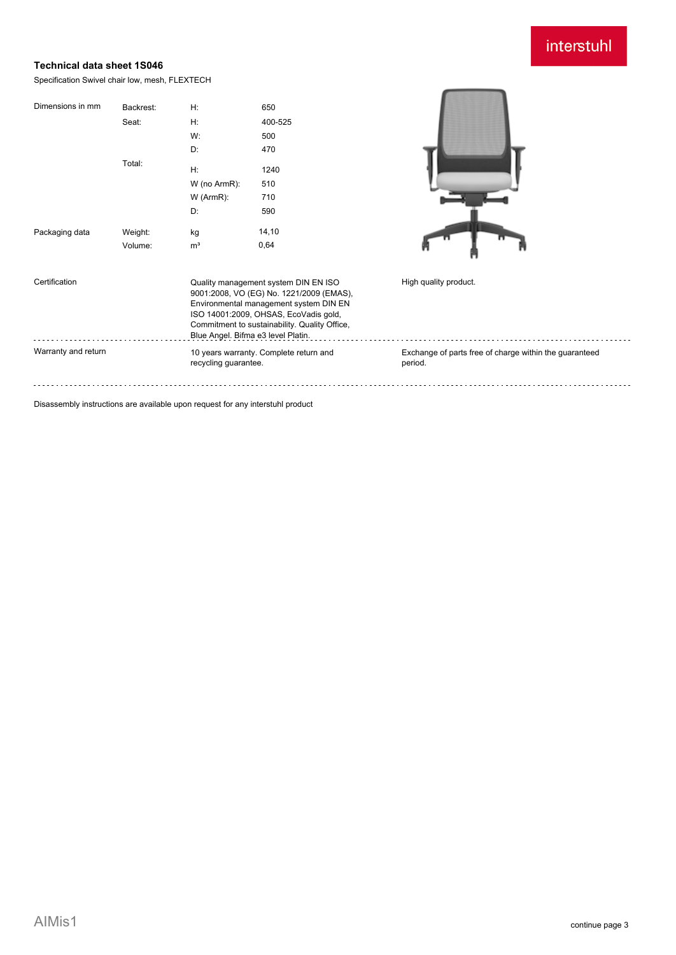## interstuhl

#### **Technical data sheet 1S046**

Specification Swivel chair low, mesh, FLEXTECH

| Dimensions in mm    | Backrest: | H:                                                                                                                                                                                                                                                         | 650                                    |                                                                   |
|---------------------|-----------|------------------------------------------------------------------------------------------------------------------------------------------------------------------------------------------------------------------------------------------------------------|----------------------------------------|-------------------------------------------------------------------|
|                     | Seat:     | H:                                                                                                                                                                                                                                                         | 400-525                                |                                                                   |
|                     |           | W:                                                                                                                                                                                                                                                         | 500                                    |                                                                   |
|                     |           | D:                                                                                                                                                                                                                                                         | 470                                    |                                                                   |
|                     | Total:    | H:                                                                                                                                                                                                                                                         | 1240                                   |                                                                   |
|                     |           | W (no ArmR):                                                                                                                                                                                                                                               | 510                                    |                                                                   |
|                     |           | $W$ (ArmR):                                                                                                                                                                                                                                                | 710                                    |                                                                   |
|                     |           | D:                                                                                                                                                                                                                                                         | 590                                    |                                                                   |
| Packaging data      | Weight:   | kg                                                                                                                                                                                                                                                         | 14, 10                                 |                                                                   |
|                     | Volume:   | m <sup>3</sup>                                                                                                                                                                                                                                             | 0,64                                   |                                                                   |
| Certification       |           | Quality management system DIN EN ISO<br>9001:2008, VO (EG) No. 1221/2009 (EMAS),<br>Environmental management system DIN EN<br>ISO 14001:2009, OHSAS, EcoVadis gold,<br>Commitment to sustainability. Quality Office,<br>Blue Angel. Bifma e3 level Platin. |                                        | High quality product.                                             |
| Warranty and return |           | recycling guarantee.                                                                                                                                                                                                                                       | 10 years warranty. Complete return and | Exchange of parts free of charge within the guaranteed<br>period. |
|                     |           |                                                                                                                                                                                                                                                            |                                        |                                                                   |

Disassembly instructions are available upon request for any interstuhl product